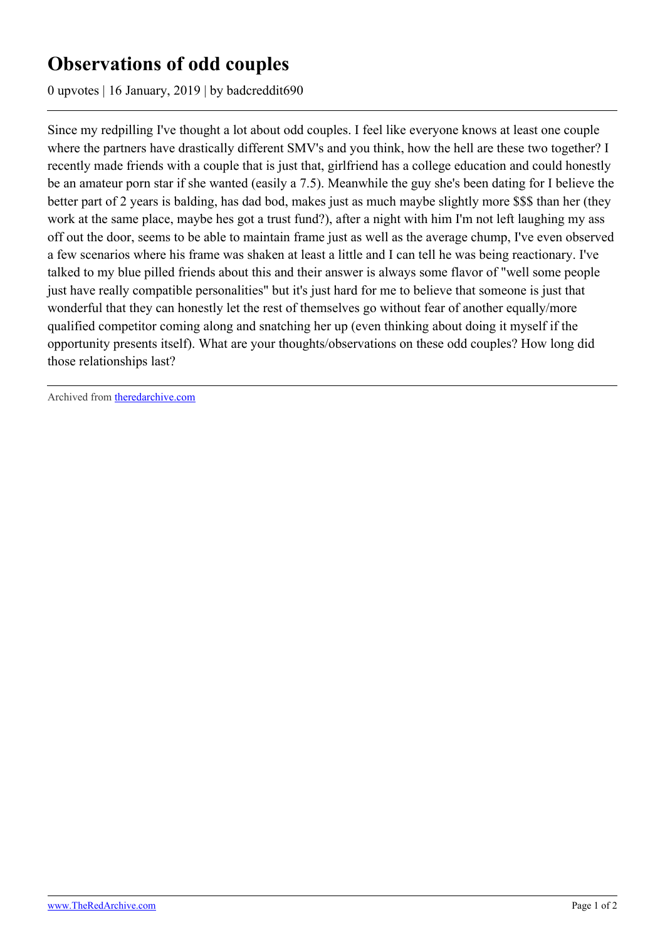## **Observations of odd couples**

0 upvotes | 16 January, 2019 | by badcreddit690

Since my redpilling I've thought a lot about odd couples. I feel like everyone knows at least one couple where the partners have drastically different SMV's and you think, how the hell are these two together? I recently made friends with a couple that is just that, girlfriend has a college education and could honestly be an amateur porn star if she wanted (easily a 7.5). Meanwhile the guy she's been dating for I believe the better part of 2 years is balding, has dad bod, makes just as much maybe slightly more \$\$\$ than her (they work at the same place, maybe hes got a trust fund?), after a night with him I'm not left laughing my ass off out the door, seems to be able to maintain frame just as well as the average chump, I've even observed a few scenarios where his frame was shaken at least a little and I can tell he was being reactionary. I've talked to my blue pilled friends about this and their answer is always some flavor of "well some people just have really compatible personalities" but it's just hard for me to believe that someone is just that wonderful that they can honestly let the rest of themselves go without fear of another equally/more qualified competitor coming along and snatching her up (even thinking about doing it myself if the opportunity presents itself). What are your thoughts/observations on these odd couples? How long did those relationships last?

Archived from [theredarchive.com](https://theredarchive.com/r/askTRP/observations-of-odd-couples.170477)